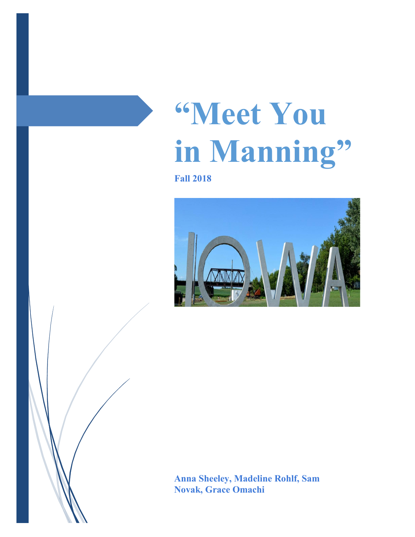# **"Meet You in Manning"**

**Fall 2018**



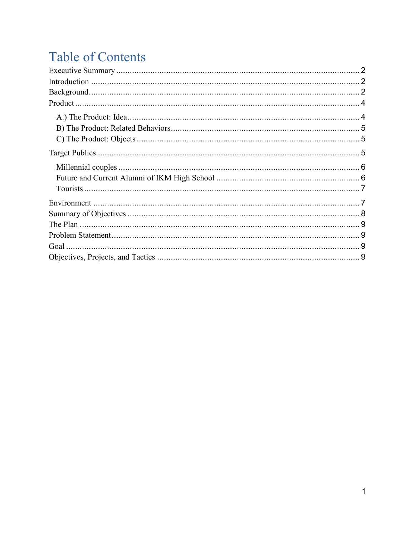# **Table of Contents**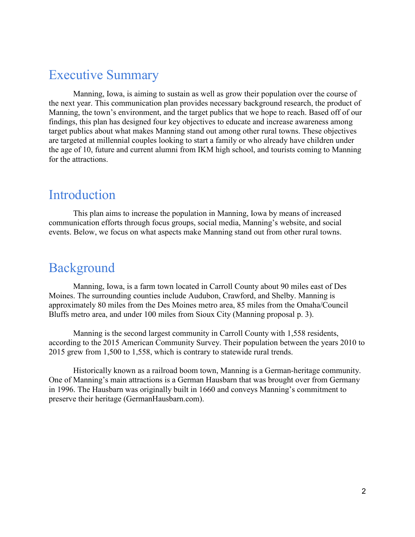# <span id="page-2-0"></span>Executive Summary

Manning, Iowa, is aiming to sustain as well as grow their population over the course of the next year. This communication plan provides necessary background research, the product of Manning, the town's environment, and the target publics that we hope to reach. Based off of our findings, this plan has designed four key objectives to educate and increase awareness among target publics about what makes Manning stand out among other rural towns. These objectives are targeted at millennial couples looking to start a family or who already have children under the age of 10, future and current alumni from IKM high school, and tourists coming to Manning for the attractions.

## <span id="page-2-1"></span>Introduction

This plan aims to increase the population in Manning, Iowa by means of increased communication efforts through focus groups, social media, Manning's website, and social events. Below, we focus on what aspects make Manning stand out from other rural towns.

# <span id="page-2-2"></span>Background

Manning, Iowa, is a farm town located in Carroll County about 90 miles east of Des Moines. The surrounding counties include Audubon, Crawford, and Shelby. Manning is approximately 80 miles from the Des Moines metro area, 85 miles from the Omaha/Council Bluffs metro area, and under 100 miles from Sioux City (Manning proposal p. 3).

Manning is the second largest community in Carroll County with 1,558 residents, according to the 2015 American Community Survey. Their population between the years 2010 to 2015 grew from 1,500 to 1,558, which is contrary to statewide rural trends.

Historically known as a railroad boom town, Manning is a German-heritage community. One of Manning's main attractions is a German Hausbarn that was brought over from Germany in 1996. The Hausbarn was originally built in 1660 and conveys Manning's commitment to preserve their heritage (GermanHausbarn.com).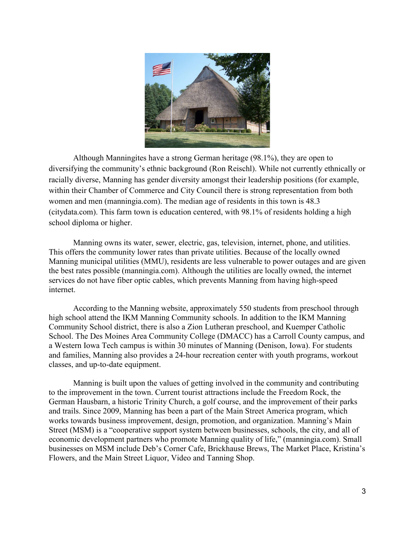

Although Manningites have a strong German heritage (98.1%), they are open to diversifying the community's ethnic background (Ron Reischl). While not currently ethnically or racially diverse, Manning has gender diversity amongst their leadership positions (for example, within their Chamber of Commerce and City Council there is strong representation from both women and men (manningia.com). The median age of residents in this town is 48.3 (citydata.com). This farm town is education centered, with 98.1% of residents holding a high school diploma or higher.

Manning owns its water, sewer, electric, gas, television, internet, phone, and utilities. This offers the community lower rates than private utilities. Because of the locally owned Manning municipal utilities (MMU), residents are less vulnerable to power outages and are given the best rates possible (manningia.com). Although the utilities are locally owned, the internet services do not have fiber optic cables, which prevents Manning from having high-speed internet.

According to the Manning website, approximately 550 students from preschool through high school attend the IKM Manning Community schools. In addition to the IKM Manning Community School district, there is also a Zion Lutheran preschool, and Kuemper Catholic School. The Des Moines Area Community College (DMACC) has a Carroll County campus, and a Western Iowa Tech campus is within 30 minutes of Manning (Denison, Iowa). For students and families, Manning also provides a 24-hour recreation center with youth programs, workout classes, and up-to-date equipment.

Manning is built upon the values of getting involved in the community and contributing to the improvement in the town. Current tourist attractions include the Freedom Rock, the German Hausbarn, a historic Trinity Church, a golf course, and the improvement of their parks and trails. Since 2009, Manning has been a part of the Main Street America program, which works towards business improvement, design, promotion, and organization. Manning's Main Street (MSM) is a "cooperative support system between businesses, schools, the city, and all of economic development partners who promote Manning quality of life," (manningia.com). Small businesses on MSM include Deb's Corner Cafe, Brickhause Brews, The Market Place, Kristina's Flowers, and the Main Street Liquor, Video and Tanning Shop.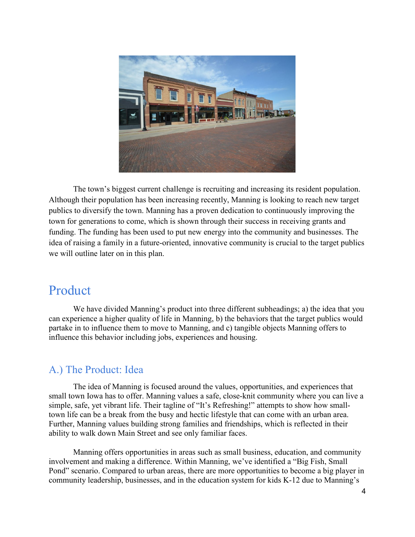

The town's biggest current challenge is recruiting and increasing its resident population. Although their population has been increasing recently, Manning is looking to reach new target publics to diversify the town. Manning has a proven dedication to continuously improving the town for generations to come, which is shown through their success in receiving grants and funding. The funding has been used to put new energy into the community and businesses. The idea of raising a family in a future-oriented, innovative community is crucial to the target publics we will outline later on in this plan.

## <span id="page-4-0"></span>Product

We have divided Manning's product into three different subheadings; a) the idea that you can experience a higher quality of life in Manning, b) the behaviors that the target publics would partake in to influence them to move to Manning, and c) tangible objects Manning offers to influence this behavior including jobs, experiences and housing.

#### <span id="page-4-1"></span>A.) The Product: Idea

The idea of Manning is focused around the values, opportunities, and experiences that small town Iowa has to offer. Manning values a safe, close-knit community where you can live a simple, safe, yet vibrant life. Their tagline of "It's Refreshing!" attempts to show how smalltown life can be a break from the busy and hectic lifestyle that can come with an urban area. Further, Manning values building strong families and friendships, which is reflected in their ability to walk down Main Street and see only familiar faces.

Manning offers opportunities in areas such as small business, education, and community involvement and making a difference. Within Manning, we've identified a "Big Fish, Small Pond" scenario. Compared to urban areas, there are more opportunities to become a big player in community leadership, businesses, and in the education system for kids K-12 due to Manning's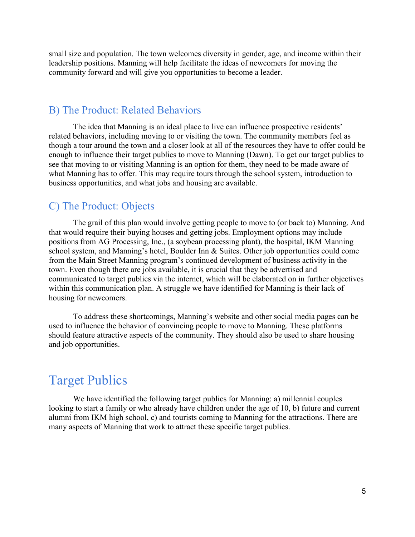small size and population. The town welcomes diversity in gender, age, and income within their leadership positions. Manning will help facilitate the ideas of newcomers for moving the community forward and will give you opportunities to become a leader.

#### <span id="page-5-0"></span>B) The Product: Related Behaviors

The idea that Manning is an ideal place to live can influence prospective residents' related behaviors, including moving to or visiting the town. The community members feel as though a tour around the town and a closer look at all of the resources they have to offer could be enough to influence their target publics to move to Manning (Dawn). To get our target publics to see that moving to or visiting Manning is an option for them, they need to be made aware of what Manning has to offer. This may require tours through the school system, introduction to business opportunities, and what jobs and housing are available.

#### <span id="page-5-1"></span>C) The Product: Objects

The grail of this plan would involve getting people to move to (or back to) Manning. And that would require their buying houses and getting jobs. Employment options may include positions from AG Processing, Inc., (a soybean processing plant), the hospital, IKM Manning school system, and Manning's hotel, Boulder Inn & Suites. Other job opportunities could come from the Main Street Manning program's continued development of business activity in the town. Even though there are jobs available, it is crucial that they be advertised and communicated to target publics via the internet, which will be elaborated on in further objectives within this communication plan. A struggle we have identified for Manning is their lack of housing for newcomers.

To address these shortcomings, Manning's website and other social media pages can be used to influence the behavior of convincing people to move to Manning. These platforms should feature attractive aspects of the community. They should also be used to share housing and job opportunities.

## <span id="page-5-2"></span>Target Publics

We have identified the following target publics for Manning: a) millennial couples looking to start a family or who already have children under the age of 10, b) future and current alumni from IKM high school, c) and tourists coming to Manning for the attractions. There are many aspects of Manning that work to attract these specific target publics.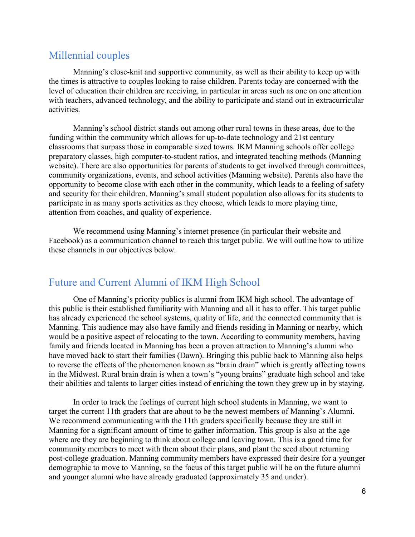#### <span id="page-6-0"></span>Millennial couples

Manning's close-knit and supportive community, as well as their ability to keep up with the times is attractive to couples looking to raise children. Parents today are concerned with the level of education their children are receiving, in particular in areas such as one on one attention with teachers, advanced technology, and the ability to participate and stand out in extracurricular activities.

Manning's school district stands out among other rural towns in these areas, due to the funding within the community which allows for up-to-date technology and 21st century classrooms that surpass those in comparable sized towns. IKM Manning schools offer college preparatory classes, high computer-to-student ratios, and integrated teaching methods (Manning website). There are also opportunities for parents of students to get involved through committees, community organizations, events, and school activities (Manning website). Parents also have the opportunity to become close with each other in the community, which leads to a feeling of safety and security for their children. Manning's small student population also allows for its students to participate in as many sports activities as they choose, which leads to more playing time, attention from coaches, and quality of experience.

We recommend using Manning's internet presence (in particular their website and Facebook) as a communication channel to reach this target public. We will outline how to utilize these channels in our objectives below.

#### <span id="page-6-1"></span>Future and Current Alumni of IKM High School

One of Manning's priority publics is alumni from IKM high school. The advantage of this public is their established familiarity with Manning and all it has to offer. This target public has already experienced the school systems, quality of life, and the connected community that is Manning. This audience may also have family and friends residing in Manning or nearby, which would be a positive aspect of relocating to the town. According to community members, having family and friends located in Manning has been a proven attraction to Manning's alumni who have moved back to start their families (Dawn). Bringing this public back to Manning also helps to reverse the effects of the phenomenon known as "brain drain" which is greatly affecting towns in the Midwest. Rural brain drain is when a town's "young brains" graduate high school and take their abilities and talents to larger cities instead of enriching the town they grew up in by staying.

In order to track the feelings of current high school students in Manning, we want to target the current 11th graders that are about to be the newest members of Manning's Alumni. We recommend communicating with the 11th graders specifically because they are still in Manning for a significant amount of time to gather information. This group is also at the age where are they are beginning to think about college and leaving town. This is a good time for community members to meet with them about their plans, and plant the seed about returning post-college graduation. Manning community members have expressed their desire for a younger demographic to move to Manning, so the focus of this target public will be on the future alumni and younger alumni who have already graduated (approximately 35 and under).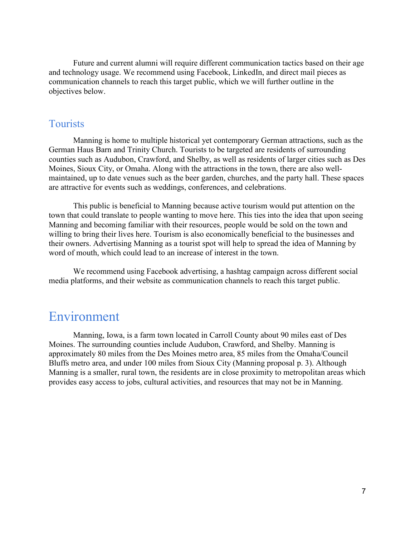Future and current alumni will require different communication tactics based on their age and technology usage. We recommend using Facebook, LinkedIn, and direct mail pieces as communication channels to reach this target public, which we will further outline in the objectives below.

#### <span id="page-7-0"></span>Tourists

Manning is home to multiple historical yet contemporary German attractions, such as the German Haus Barn and Trinity Church. Tourists to be targeted are residents of surrounding counties such as Audubon, Crawford, and Shelby, as well as residents of larger cities such as Des Moines, Sioux City, or Omaha. Along with the attractions in the town, there are also wellmaintained, up to date venues such as the beer garden, churches, and the party hall. These spaces are attractive for events such as weddings, conferences, and celebrations.

This public is beneficial to Manning because active tourism would put attention on the town that could translate to people wanting to move here. This ties into the idea that upon seeing Manning and becoming familiar with their resources, people would be sold on the town and willing to bring their lives here. Tourism is also economically beneficial to the businesses and their owners. Advertising Manning as a tourist spot will help to spread the idea of Manning by word of mouth, which could lead to an increase of interest in the town.

We recommend using Facebook advertising, a hashtag campaign across different social media platforms, and their website as communication channels to reach this target public.

### <span id="page-7-1"></span>Environment

Manning, Iowa, is a farm town located in Carroll County about 90 miles east of Des Moines. The surrounding counties include Audubon, Crawford, and Shelby. Manning is approximately 80 miles from the Des Moines metro area, 85 miles from the Omaha/Council Bluffs metro area, and under 100 miles from Sioux City (Manning proposal p. 3). Although Manning is a smaller, rural town, the residents are in close proximity to metropolitan areas which provides easy access to jobs, cultural activities, and resources that may not be in Manning.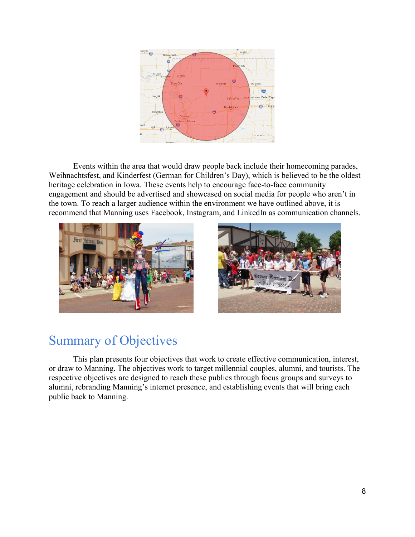

Events within the area that would draw people back include their homecoming parades, Weihnachtsfest, and Kinderfest (German for Children's Day), which is believed to be the oldest heritage celebration in Iowa. These events help to encourage face-to-face community engagement and should be advertised and showcased on social media for people who aren't in the town. To reach a larger audience within the environment we have outlined above, it is recommend that Manning uses Facebook, Instagram, and LinkedIn as communication channels.



<span id="page-8-0"></span>

# Summary of Objectives

<span id="page-8-1"></span>This plan presents four objectives that work to create effective communication, interest, or draw to Manning. The objectives work to target millennial couples, alumni, and tourists. The respective objectives are designed to reach these publics through focus groups and surveys to alumni, rebranding Manning's internet presence, and establishing events that will bring each public back to Manning.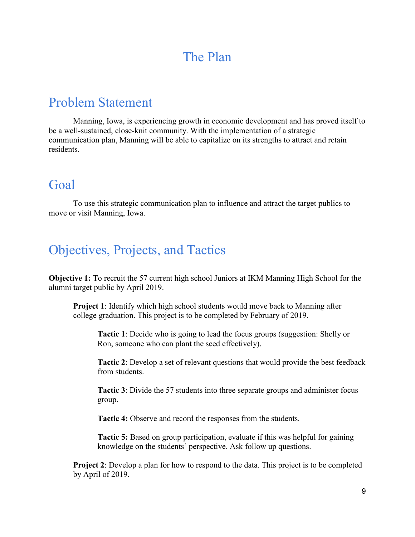# The Plan

# <span id="page-9-0"></span>Problem Statement

Manning, Iowa, is experiencing growth in economic development and has proved itself to be a well-sustained, close-knit community. With the implementation of a strategic communication plan, Manning will be able to capitalize on its strengths to attract and retain residents.

# <span id="page-9-1"></span>Goal

To use this strategic communication plan to influence and attract the target publics to move or visit Manning, Iowa.

# <span id="page-9-2"></span>Objectives, Projects, and Tactics

**Objective 1:** To recruit the 57 current high school Juniors at IKM Manning High School for the alumni target public by April 2019.

**Project 1**: Identify which high school students would move back to Manning after college graduation. This project is to be completed by February of 2019.

**Tactic 1**: Decide who is going to lead the focus groups (suggestion: Shelly or Ron, someone who can plant the seed effectively).

**Tactic 2**: Develop a set of relevant questions that would provide the best feedback from students.

**Tactic 3**: Divide the 57 students into three separate groups and administer focus group.

**Tactic 4:** Observe and record the responses from the students.

**Tactic 5:** Based on group participation, evaluate if this was helpful for gaining knowledge on the students' perspective. Ask follow up questions.

**Project 2:** Develop a plan for how to respond to the data. This project is to be completed by April of 2019.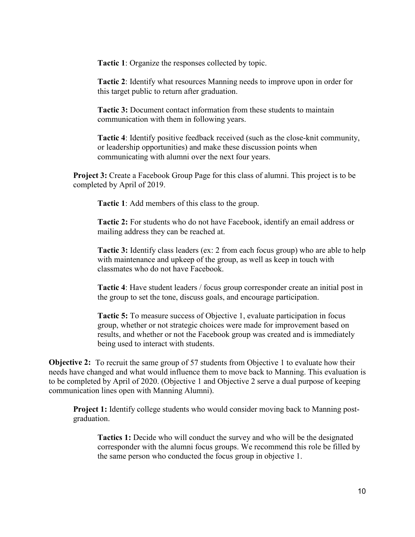**Tactic 1**: Organize the responses collected by topic.

**Tactic 2**: Identify what resources Manning needs to improve upon in order for this target public to return after graduation.

**Tactic 3:** Document contact information from these students to maintain communication with them in following years.

**Tactic 4**: Identify positive feedback received (such as the close-knit community, or leadership opportunities) and make these discussion points when communicating with alumni over the next four years.

**Project 3:** Create a Facebook Group Page for this class of alumni. This project is to be completed by April of 2019.

**Tactic 1**: Add members of this class to the group.

**Tactic 2:** For students who do not have Facebook, identify an email address or mailing address they can be reached at.

**Tactic 3:** Identify class leaders (ex: 2 from each focus group) who are able to help with maintenance and upkeep of the group, as well as keep in touch with classmates who do not have Facebook.

**Tactic 4**: Have student leaders / focus group corresponder create an initial post in the group to set the tone, discuss goals, and encourage participation.

**Tactic 5:** To measure success of Objective 1, evaluate participation in focus group, whether or not strategic choices were made for improvement based on results, and whether or not the Facebook group was created and is immediately being used to interact with students.

**Objective 2:** To recruit the same group of 57 students from Objective 1 to evaluate how their needs have changed and what would influence them to move back to Manning. This evaluation is to be completed by April of 2020. (Objective 1 and Objective 2 serve a dual purpose of keeping communication lines open with Manning Alumni).

**Project 1:** Identify college students who would consider moving back to Manning postgraduation.

**Tactics 1:** Decide who will conduct the survey and who will be the designated corresponder with the alumni focus groups. We recommend this role be filled by the same person who conducted the focus group in objective 1.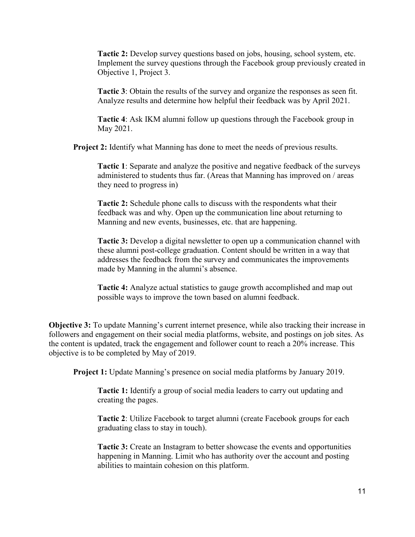**Tactic 2:** Develop survey questions based on jobs, housing, school system, etc. Implement the survey questions through the Facebook group previously created in Objective 1, Project 3.

**Tactic 3**: Obtain the results of the survey and organize the responses as seen fit. Analyze results and determine how helpful their feedback was by April 2021.

**Tactic 4**: Ask IKM alumni follow up questions through the Facebook group in May 2021.

**Project 2:** Identify what Manning has done to meet the needs of previous results.

**Tactic 1**: Separate and analyze the positive and negative feedback of the surveys administered to students thus far. (Areas that Manning has improved on / areas they need to progress in)

**Tactic 2:** Schedule phone calls to discuss with the respondents what their feedback was and why. Open up the communication line about returning to Manning and new events, businesses, etc. that are happening.

**Tactic 3:** Develop a digital newsletter to open up a communication channel with these alumni post-college graduation. Content should be written in a way that addresses the feedback from the survey and communicates the improvements made by Manning in the alumni's absence.

**Tactic 4:** Analyze actual statistics to gauge growth accomplished and map out possible ways to improve the town based on alumni feedback.

**Objective 3:** To update Manning's current internet presence, while also tracking their increase in followers and engagement on their social media platforms, website, and postings on job sites. As the content is updated, track the engagement and follower count to reach a 20% increase. This objective is to be completed by May of 2019.

**Project 1:** Update Manning's presence on social media platforms by January 2019.

**Tactic 1:** Identify a group of social media leaders to carry out updating and creating the pages.

**Tactic 2**: Utilize Facebook to target alumni (create Facebook groups for each graduating class to stay in touch).

**Tactic 3:** Create an Instagram to better showcase the events and opportunities happening in Manning. Limit who has authority over the account and posting abilities to maintain cohesion on this platform.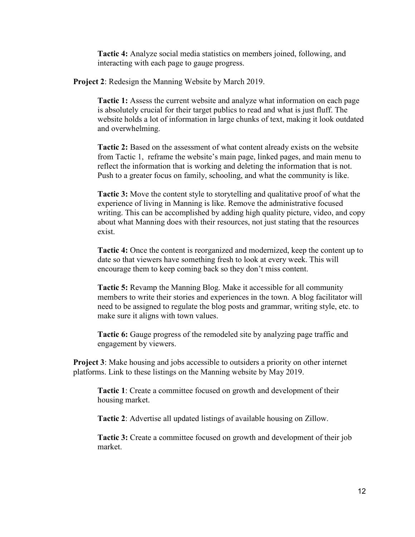**Tactic 4:** Analyze social media statistics on members joined, following, and interacting with each page to gauge progress.

**Project 2**: Redesign the Manning Website by March 2019.

**Tactic 1:** Assess the current website and analyze what information on each page is absolutely crucial for their target publics to read and what is just fluff. The website holds a lot of information in large chunks of text, making it look outdated and overwhelming.

**Tactic 2:** Based on the assessment of what content already exists on the website from Tactic 1, reframe the website's main page, linked pages, and main menu to reflect the information that is working and deleting the information that is not. Push to a greater focus on family, schooling, and what the community is like.

**Tactic 3:** Move the content style to storytelling and qualitative proof of what the experience of living in Manning is like. Remove the administrative focused writing. This can be accomplished by adding high quality picture, video, and copy about what Manning does with their resources, not just stating that the resources exist.

**Tactic 4:** Once the content is reorganized and modernized, keep the content up to date so that viewers have something fresh to look at every week. This will encourage them to keep coming back so they don't miss content.

**Tactic 5:** Revamp the Manning Blog. Make it accessible for all community members to write their stories and experiences in the town. A blog facilitator will need to be assigned to regulate the blog posts and grammar, writing style, etc. to make sure it aligns with town values.

**Tactic 6:** Gauge progress of the remodeled site by analyzing page traffic and engagement by viewers.

**Project 3**: Make housing and jobs accessible to outsiders a priority on other internet platforms. Link to these listings on the Manning website by May 2019.

**Tactic 1**: Create a committee focused on growth and development of their housing market.

**Tactic 2**: Advertise all updated listings of available housing on Zillow.

**Tactic 3:** Create a committee focused on growth and development of their job market.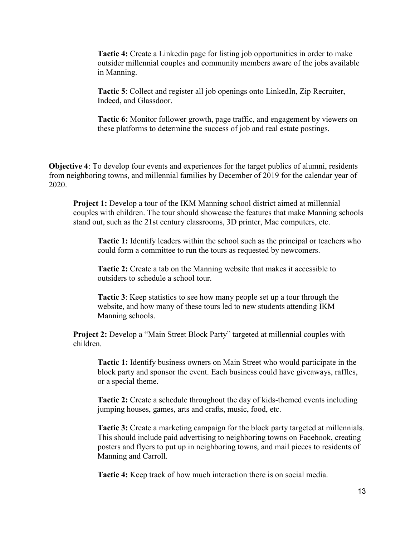**Tactic 4:** Create a Linkedin page for listing job opportunities in order to make outsider millennial couples and community members aware of the jobs available in Manning.

**Tactic 5**: Collect and register all job openings onto LinkedIn, Zip Recruiter, Indeed, and Glassdoor.

**Tactic 6:** Monitor follower growth, page traffic, and engagement by viewers on these platforms to determine the success of job and real estate postings.

**Objective 4**: To develop four events and experiences for the target publics of alumni, residents from neighboring towns, and millennial families by December of 2019 for the calendar year of 2020.

**Project 1:** Develop a tour of the IKM Manning school district aimed at millennial couples with children. The tour should showcase the features that make Manning schools stand out, such as the 21st century classrooms, 3D printer, Mac computers, etc.

**Tactic 1:** Identify leaders within the school such as the principal or teachers who could form a committee to run the tours as requested by newcomers.

**Tactic 2:** Create a tab on the Manning website that makes it accessible to outsiders to schedule a school tour.

**Tactic 3**: Keep statistics to see how many people set up a tour through the website, and how many of these tours led to new students attending IKM Manning schools.

**Project 2:** Develop a "Main Street Block Party" targeted at millennial couples with children.

**Tactic 1:** Identify business owners on Main Street who would participate in the block party and sponsor the event. Each business could have giveaways, raffles, or a special theme.

**Tactic 2:** Create a schedule throughout the day of kids-themed events including jumping houses, games, arts and crafts, music, food, etc.

**Tactic 3:** Create a marketing campaign for the block party targeted at millennials. This should include paid advertising to neighboring towns on Facebook, creating posters and flyers to put up in neighboring towns, and mail pieces to residents of Manning and Carroll.

**Tactic 4:** Keep track of how much interaction there is on social media.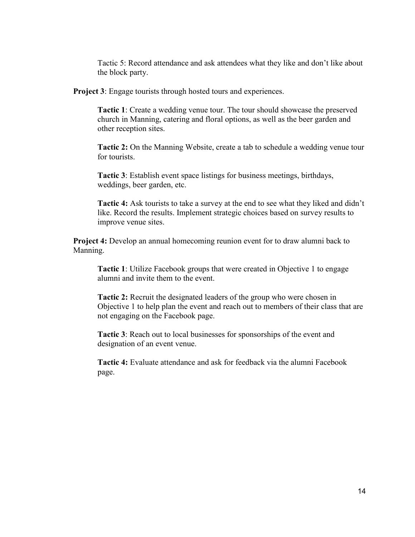Tactic 5: Record attendance and ask attendees what they like and don't like about the block party.

**Project 3:** Engage tourists through hosted tours and experiences.

**Tactic 1**: Create a wedding venue tour. The tour should showcase the preserved church in Manning, catering and floral options, as well as the beer garden and other reception sites.

**Tactic 2:** On the Manning Website, create a tab to schedule a wedding venue tour for tourists.

**Tactic 3**: Establish event space listings for business meetings, birthdays, weddings, beer garden, etc.

**Tactic 4:** Ask tourists to take a survey at the end to see what they liked and didn't like. Record the results. Implement strategic choices based on survey results to improve venue sites.

**Project 4:** Develop an annual homecoming reunion event for to draw alumni back to Manning.

**Tactic 1**: Utilize Facebook groups that were created in Objective 1 to engage alumni and invite them to the event.

**Tactic 2:** Recruit the designated leaders of the group who were chosen in Objective 1 to help plan the event and reach out to members of their class that are not engaging on the Facebook page.

**Tactic 3**: Reach out to local businesses for sponsorships of the event and designation of an event venue.

**Tactic 4:** Evaluate attendance and ask for feedback via the alumni Facebook page.